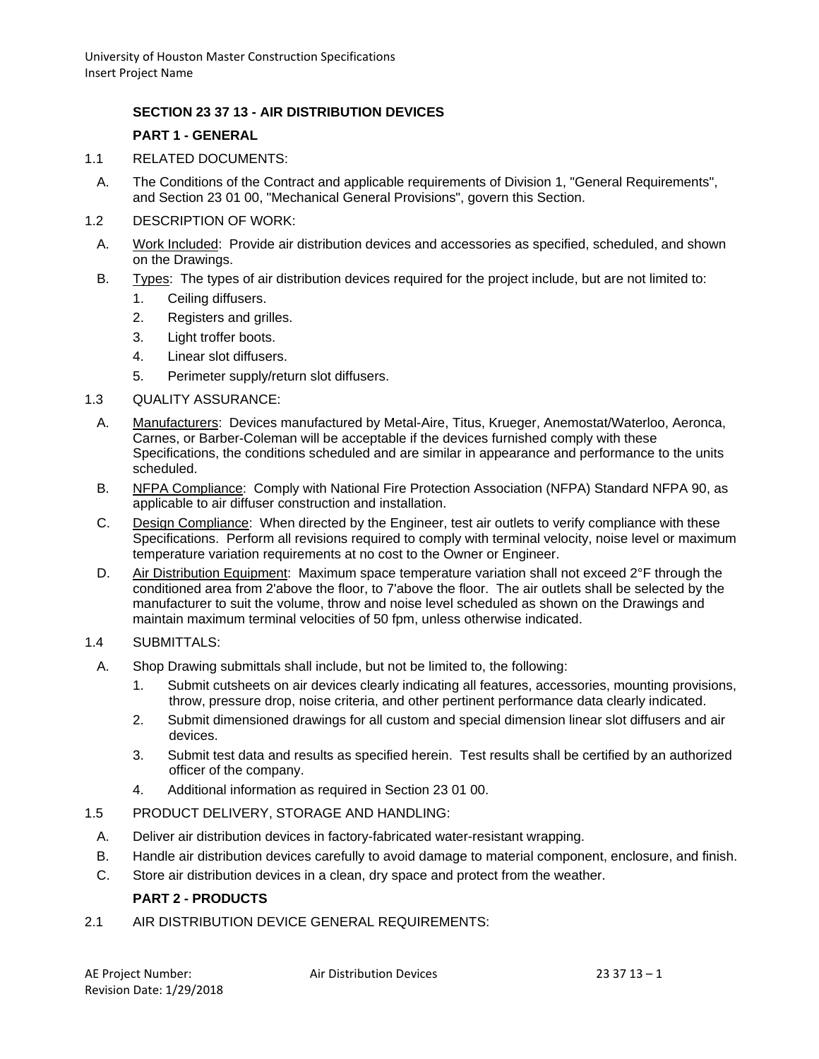## **SECTION 23 37 13 - AIR DISTRIBUTION DEVICES**

#### **PART 1 - GENERAL**

- 1.1 RELATED DOCUMENTS:
	- A. The Conditions of the Contract and applicable requirements of Division 1, "General Requirements", and Section 23 01 00, "Mechanical General Provisions", govern this Section.
- 1.2 DESCRIPTION OF WORK:
- A. Work Included: Provide air distribution devices and accessories as specified, scheduled, and shown on the Drawings.
- B. Types: The types of air distribution devices required for the project include, but are not limited to:
	- 1. Ceiling diffusers.
	- 2. Registers and grilles.
	- 3. Light troffer boots.
	- 4. Linear slot diffusers.
	- 5. Perimeter supply/return slot diffusers.
- 1.3 QUALITY ASSURANCE:
	- A. Manufacturers: Devices manufactured by Metal-Aire, Titus, Krueger, Anemostat/Waterloo, Aeronca, Carnes, or Barber-Coleman will be acceptable if the devices furnished comply with these Specifications, the conditions scheduled and are similar in appearance and performance to the units scheduled.
	- B. NFPA Compliance: Comply with National Fire Protection Association (NFPA) Standard NFPA 90, as applicable to air diffuser construction and installation.
	- C. Design Compliance: When directed by the Engineer, test air outlets to verify compliance with these Specifications. Perform all revisions required to comply with terminal velocity, noise level or maximum temperature variation requirements at no cost to the Owner or Engineer.
	- D. Air Distribution Equipment: Maximum space temperature variation shall not exceed 2°F through the conditioned area from 2'above the floor, to 7'above the floor. The air outlets shall be selected by the manufacturer to suit the volume, throw and noise level scheduled as shown on the Drawings and maintain maximum terminal velocities of 50 fpm, unless otherwise indicated.

#### 1.4 SUBMITTALS:

- A. Shop Drawing submittals shall include, but not be limited to, the following:
	- 1. Submit cutsheets on air devices clearly indicating all features, accessories, mounting provisions, throw, pressure drop, noise criteria, and other pertinent performance data clearly indicated.
	- 2. Submit dimensioned drawings for all custom and special dimension linear slot diffusers and air devices.
	- 3. Submit test data and results as specified herein. Test results shall be certified by an authorized officer of the company.
	- 4. Additional information as required in Section 23 01 00.
- 1.5 PRODUCT DELIVERY, STORAGE AND HANDLING:
- A. Deliver air distribution devices in factory-fabricated water-resistant wrapping.
- B. Handle air distribution devices carefully to avoid damage to material component, enclosure, and finish.
- C. Store air distribution devices in a clean, dry space and protect from the weather.

## **PART 2 - PRODUCTS**

2.1 AIR DISTRIBUTION DEVICE GENERAL REQUIREMENTS: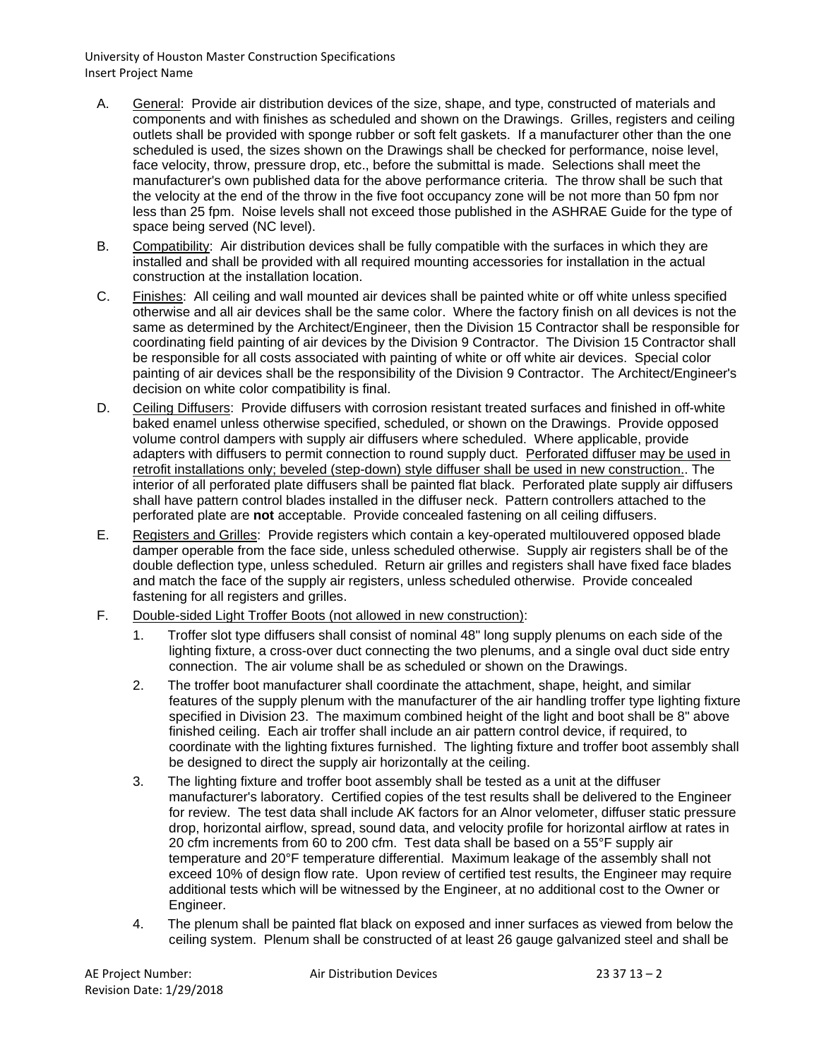- A. General: Provide air distribution devices of the size, shape, and type, constructed of materials and components and with finishes as scheduled and shown on the Drawings. Grilles, registers and ceiling outlets shall be provided with sponge rubber or soft felt gaskets. If a manufacturer other than the one scheduled is used, the sizes shown on the Drawings shall be checked for performance, noise level, face velocity, throw, pressure drop, etc., before the submittal is made. Selections shall meet the manufacturer's own published data for the above performance criteria. The throw shall be such that the velocity at the end of the throw in the five foot occupancy zone will be not more than 50 fpm nor less than 25 fpm. Noise levels shall not exceed those published in the ASHRAE Guide for the type of space being served (NC level).
- B. Compatibility: Air distribution devices shall be fully compatible with the surfaces in which they are installed and shall be provided with all required mounting accessories for installation in the actual construction at the installation location.
- C. Finishes: All ceiling and wall mounted air devices shall be painted white or off white unless specified otherwise and all air devices shall be the same color. Where the factory finish on all devices is not the same as determined by the Architect/Engineer, then the Division 15 Contractor shall be responsible for coordinating field painting of air devices by the Division 9 Contractor. The Division 15 Contractor shall be responsible for all costs associated with painting of white or off white air devices. Special color painting of air devices shall be the responsibility of the Division 9 Contractor. The Architect/Engineer's decision on white color compatibility is final.
- D. Ceiling Diffusers: Provide diffusers with corrosion resistant treated surfaces and finished in off-white baked enamel unless otherwise specified, scheduled, or shown on the Drawings. Provide opposed volume control dampers with supply air diffusers where scheduled. Where applicable, provide adapters with diffusers to permit connection to round supply duct. Perforated diffuser may be used in retrofit installations only; beveled (step-down) style diffuser shall be used in new construction.. The interior of all perforated plate diffusers shall be painted flat black. Perforated plate supply air diffusers shall have pattern control blades installed in the diffuser neck. Pattern controllers attached to the perforated plate are **not** acceptable. Provide concealed fastening on all ceiling diffusers.
- E. Registers and Grilles: Provide registers which contain a key-operated multilouvered opposed blade damper operable from the face side, unless scheduled otherwise. Supply air registers shall be of the double deflection type, unless scheduled. Return air grilles and registers shall have fixed face blades and match the face of the supply air registers, unless scheduled otherwise. Provide concealed fastening for all registers and grilles.
- F. Double-sided Light Troffer Boots (not allowed in new construction):
	- 1. Troffer slot type diffusers shall consist of nominal 48" long supply plenums on each side of the lighting fixture, a cross-over duct connecting the two plenums, and a single oval duct side entry connection. The air volume shall be as scheduled or shown on the Drawings.
	- 2. The troffer boot manufacturer shall coordinate the attachment, shape, height, and similar features of the supply plenum with the manufacturer of the air handling troffer type lighting fixture specified in Division 23. The maximum combined height of the light and boot shall be 8" above finished ceiling. Each air troffer shall include an air pattern control device, if required, to coordinate with the lighting fixtures furnished. The lighting fixture and troffer boot assembly shall be designed to direct the supply air horizontally at the ceiling.
	- 3. The lighting fixture and troffer boot assembly shall be tested as a unit at the diffuser manufacturer's laboratory. Certified copies of the test results shall be delivered to the Engineer for review. The test data shall include AK factors for an Alnor velometer, diffuser static pressure drop, horizontal airflow, spread, sound data, and velocity profile for horizontal airflow at rates in 20 cfm increments from 60 to 200 cfm. Test data shall be based on a 55°F supply air temperature and 20°F temperature differential. Maximum leakage of the assembly shall not exceed 10% of design flow rate. Upon review of certified test results, the Engineer may require additional tests which will be witnessed by the Engineer, at no additional cost to the Owner or Engineer.
	- 4. The plenum shall be painted flat black on exposed and inner surfaces as viewed from below the ceiling system. Plenum shall be constructed of at least 26 gauge galvanized steel and shall be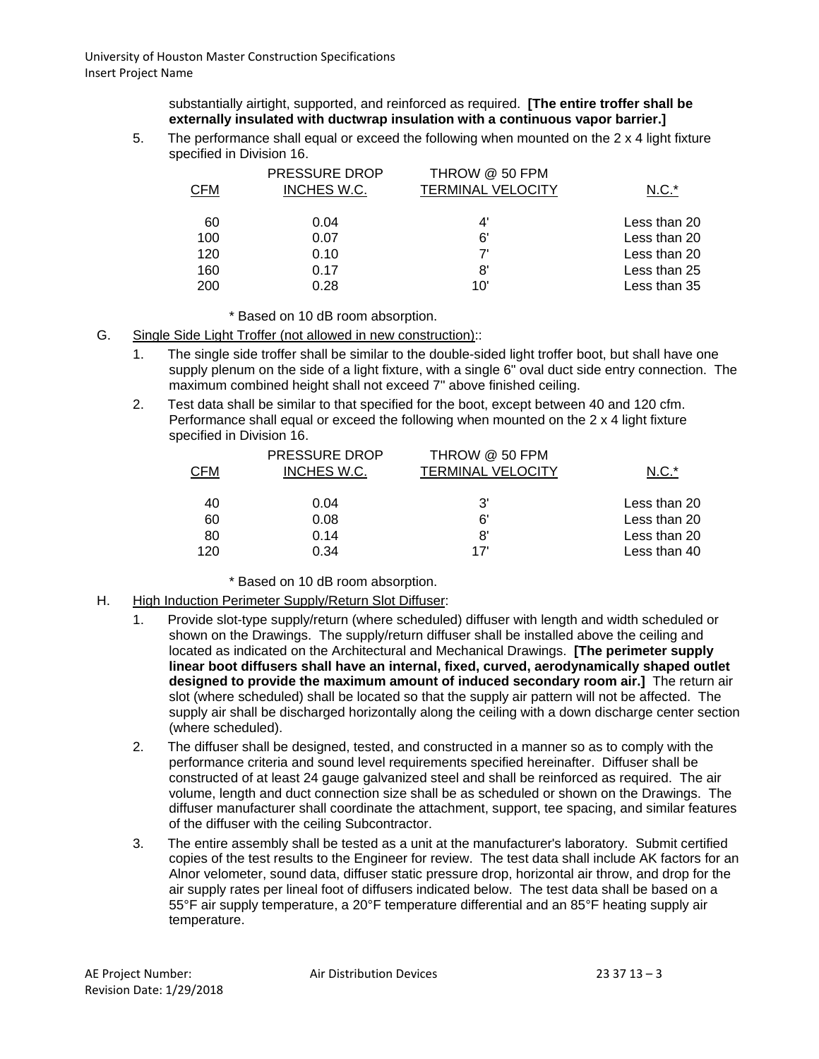substantially airtight, supported, and reinforced as required. **[The entire troffer shall be externally insulated with ductwrap insulation with a continuous vapor barrier.]**

5. The performance shall equal or exceed the following when mounted on the 2 x 4 light fixture specified in Division 16.

| <b>CFM</b> | <b>PRESSURE DROP</b><br>INCHES W.C. | THROW @ 50 FPM<br><b>TERMINAL VELOCITY</b> | $N.C.*$      |
|------------|-------------------------------------|--------------------------------------------|--------------|
| 60         | 0.04                                | 4'                                         | Less than 20 |
| 100        | 0.07                                | 6'                                         | Less than 20 |
| 120        | 0.10                                | 7'                                         | Less than 20 |
| 160        | 0.17                                | 8'                                         | Less than 25 |
| 200        | 0.28                                | 10'                                        | Less than 35 |

- \* Based on 10 dB room absorption.
- G. Single Side Light Troffer (not allowed in new construction)::
	- 1. The single side troffer shall be similar to the double-sided light troffer boot, but shall have one supply plenum on the side of a light fixture, with a single 6" oval duct side entry connection. The maximum combined height shall not exceed 7" above finished ceiling.
	- 2. Test data shall be similar to that specified for the boot, except between 40 and 120 cfm. Performance shall equal or exceed the following when mounted on the 2 x 4 light fixture specified in Division 16.

|     | PRESSURE DROP | THROW @ 50 FPM    |              |
|-----|---------------|-------------------|--------------|
| CFM | INCHES W.C.   | TERMINAL VELOCITY | $N.C.*$      |
| 40  | 0.04          | 3'                | Less than 20 |
|     |               |                   |              |
| 60  | 0.08          | 6'                | Less than 20 |
| 80  | 0.14          | 8                 | Less than 20 |
| 120 | 0.34          | 17'               | Less than 40 |

\* Based on 10 dB room absorption.

- H. High Induction Perimeter Supply/Return Slot Diffuser:
	- 1. Provide slot-type supply/return (where scheduled) diffuser with length and width scheduled or shown on the Drawings. The supply/return diffuser shall be installed above the ceiling and located as indicated on the Architectural and Mechanical Drawings. **[The perimeter supply linear boot diffusers shall have an internal, fixed, curved, aerodynamically shaped outlet designed to provide the maximum amount of induced secondary room air.]** The return air slot (where scheduled) shall be located so that the supply air pattern will not be affected. The supply air shall be discharged horizontally along the ceiling with a down discharge center section (where scheduled).
	- 2. The diffuser shall be designed, tested, and constructed in a manner so as to comply with the performance criteria and sound level requirements specified hereinafter. Diffuser shall be constructed of at least 24 gauge galvanized steel and shall be reinforced as required. The air volume, length and duct connection size shall be as scheduled or shown on the Drawings. The diffuser manufacturer shall coordinate the attachment, support, tee spacing, and similar features of the diffuser with the ceiling Subcontractor.
	- 3. The entire assembly shall be tested as a unit at the manufacturer's laboratory. Submit certified copies of the test results to the Engineer for review. The test data shall include AK factors for an Alnor velometer, sound data, diffuser static pressure drop, horizontal air throw, and drop for the air supply rates per lineal foot of diffusers indicated below. The test data shall be based on a 55°F air supply temperature, a 20°F temperature differential and an 85°F heating supply air temperature.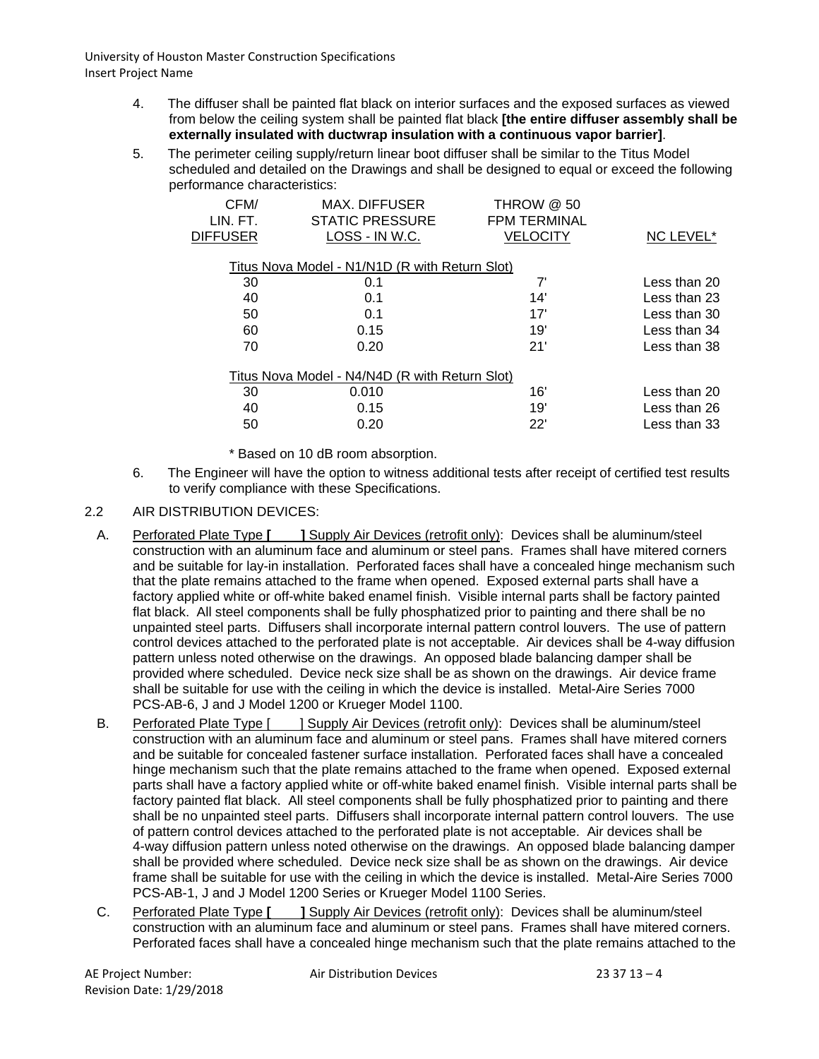- 4. The diffuser shall be painted flat black on interior surfaces and the exposed surfaces as viewed from below the ceiling system shall be painted flat black **[the entire diffuser assembly shall be externally insulated with ductwrap insulation with a continuous vapor barrier]**.
- 5. The perimeter ceiling supply/return linear boot diffuser shall be similar to the Titus Model scheduled and detailed on the Drawings and shall be designed to equal or exceed the following performance characteristics:

| CFM/                                           | <b>MAX. DIFFUSER</b>   | <b>THROW @ 50</b>   |                  |  |  |  |  |
|------------------------------------------------|------------------------|---------------------|------------------|--|--|--|--|
| LIN. FT.                                       | <b>STATIC PRESSURE</b> | <b>FPM TERMINAL</b> |                  |  |  |  |  |
| <b>DIFFUSER</b>                                | LOSS - IN W.C.         | VELOCITY            | <b>NC LEVEL*</b> |  |  |  |  |
|                                                |                        |                     |                  |  |  |  |  |
| Titus Nova Model - N1/N1D (R with Return Slot) |                        |                     |                  |  |  |  |  |
| 30                                             | 0.1                    | 7'                  | Less than 20     |  |  |  |  |
| 40                                             | 0.1                    | 14'                 | Less than 23     |  |  |  |  |
| 50                                             | 0.1                    | 17'                 | Less than 30     |  |  |  |  |
| 60                                             | 0.15                   | 19'                 | Less than 34     |  |  |  |  |
| 70                                             | 0.20                   | 21'                 | Less than 38     |  |  |  |  |
|                                                |                        |                     |                  |  |  |  |  |
| Titus Nova Model - N4/N4D (R with Return Slot) |                        |                     |                  |  |  |  |  |
| 30                                             | 0.010                  | 16'                 | Less than 20     |  |  |  |  |
| 40                                             | 0.15                   | 19'                 | Less than 26     |  |  |  |  |
| 50                                             | 0.20                   | 22'                 | Less than 33     |  |  |  |  |
|                                                |                        |                     |                  |  |  |  |  |

\* Based on 10 dB room absorption.

- 6. The Engineer will have the option to witness additional tests after receipt of certified test results to verify compliance with these Specifications.
- 2.2 AIR DISTRIBUTION DEVICES:
	- A. Perforated Plate Type **[ ]** Supply Air Devices (retrofit only): Devices shall be aluminum/steel construction with an aluminum face and aluminum or steel pans. Frames shall have mitered corners and be suitable for lay-in installation. Perforated faces shall have a concealed hinge mechanism such that the plate remains attached to the frame when opened. Exposed external parts shall have a factory applied white or off-white baked enamel finish. Visible internal parts shall be factory painted flat black. All steel components shall be fully phosphatized prior to painting and there shall be no unpainted steel parts. Diffusers shall incorporate internal pattern control louvers. The use of pattern control devices attached to the perforated plate is not acceptable. Air devices shall be 4-way diffusion pattern unless noted otherwise on the drawings. An opposed blade balancing damper shall be provided where scheduled. Device neck size shall be as shown on the drawings. Air device frame shall be suitable for use with the ceiling in which the device is installed. Metal-Aire Series 7000 PCS-AB-6, J and J Model 1200 or Krueger Model 1100.
	- B. Perforated Plate Type [ ] Supply Air Devices (retrofit only): Devices shall be aluminum/steel construction with an aluminum face and aluminum or steel pans. Frames shall have mitered corners and be suitable for concealed fastener surface installation. Perforated faces shall have a concealed hinge mechanism such that the plate remains attached to the frame when opened. Exposed external parts shall have a factory applied white or off-white baked enamel finish. Visible internal parts shall be factory painted flat black. All steel components shall be fully phosphatized prior to painting and there shall be no unpainted steel parts. Diffusers shall incorporate internal pattern control louvers. The use of pattern control devices attached to the perforated plate is not acceptable. Air devices shall be 4-way diffusion pattern unless noted otherwise on the drawings. An opposed blade balancing damper shall be provided where scheduled. Device neck size shall be as shown on the drawings. Air device frame shall be suitable for use with the ceiling in which the device is installed. Metal-Aire Series 7000 PCS-AB-1, J and J Model 1200 Series or Krueger Model 1100 Series.
	- C. Perforated Plate Type **[ ]** Supply Air Devices (retrofit only): Devices shall be aluminum/steel construction with an aluminum face and aluminum or steel pans. Frames shall have mitered corners. Perforated faces shall have a concealed hinge mechanism such that the plate remains attached to the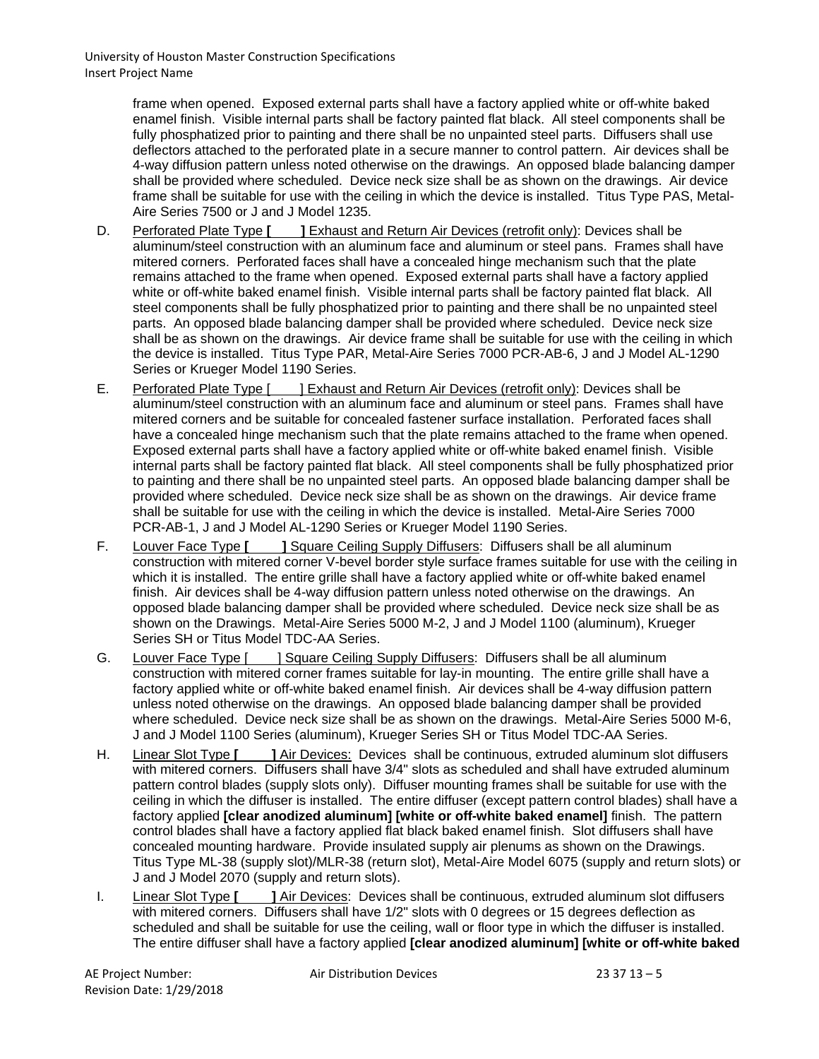> frame when opened. Exposed external parts shall have a factory applied white or off-white baked enamel finish. Visible internal parts shall be factory painted flat black. All steel components shall be fully phosphatized prior to painting and there shall be no unpainted steel parts. Diffusers shall use deflectors attached to the perforated plate in a secure manner to control pattern. Air devices shall be 4-way diffusion pattern unless noted otherwise on the drawings. An opposed blade balancing damper shall be provided where scheduled. Device neck size shall be as shown on the drawings. Air device frame shall be suitable for use with the ceiling in which the device is installed. Titus Type PAS, Metal-Aire Series 7500 or J and J Model 1235.

- D. Perforated Plate Type **[ ]** Exhaust and Return Air Devices (retrofit only): Devices shall be aluminum/steel construction with an aluminum face and aluminum or steel pans. Frames shall have mitered corners. Perforated faces shall have a concealed hinge mechanism such that the plate remains attached to the frame when opened. Exposed external parts shall have a factory applied white or off-white baked enamel finish. Visible internal parts shall be factory painted flat black. All steel components shall be fully phosphatized prior to painting and there shall be no unpainted steel parts. An opposed blade balancing damper shall be provided where scheduled. Device neck size shall be as shown on the drawings. Air device frame shall be suitable for use with the ceiling in which the device is installed. Titus Type PAR, Metal-Aire Series 7000 PCR-AB-6, J and J Model AL-1290 Series or Krueger Model 1190 Series.
- E. Perforated Plate Type [ ] Exhaust and Return Air Devices (retrofit only): Devices shall be aluminum/steel construction with an aluminum face and aluminum or steel pans. Frames shall have mitered corners and be suitable for concealed fastener surface installation. Perforated faces shall have a concealed hinge mechanism such that the plate remains attached to the frame when opened. Exposed external parts shall have a factory applied white or off-white baked enamel finish. Visible internal parts shall be factory painted flat black. All steel components shall be fully phosphatized prior to painting and there shall be no unpainted steel parts. An opposed blade balancing damper shall be provided where scheduled. Device neck size shall be as shown on the drawings. Air device frame shall be suitable for use with the ceiling in which the device is installed. Metal-Aire Series 7000 PCR-AB-1, J and J Model AL-1290 Series or Krueger Model 1190 Series.
- F. Louver Face Type **[ ]** Square Ceiling Supply Diffusers: Diffusers shall be all aluminum construction with mitered corner V-bevel border style surface frames suitable for use with the ceiling in which it is installed. The entire grille shall have a factory applied white or off-white baked enamel finish. Air devices shall be 4-way diffusion pattern unless noted otherwise on the drawings. An opposed blade balancing damper shall be provided where scheduled. Device neck size shall be as shown on the Drawings. Metal-Aire Series 5000 M-2, J and J Model 1100 (aluminum), Krueger Series SH or Titus Model TDC-AA Series.
- G. Louver Face Type [ ] Square Ceiling Supply Diffusers: Diffusers shall be all aluminum construction with mitered corner frames suitable for lay-in mounting. The entire grille shall have a factory applied white or off-white baked enamel finish. Air devices shall be 4-way diffusion pattern unless noted otherwise on the drawings. An opposed blade balancing damper shall be provided where scheduled. Device neck size shall be as shown on the drawings. Metal-Aire Series 5000 M-6, J and J Model 1100 Series (aluminum), Krueger Series SH or Titus Model TDC-AA Series.
- H. Linear Slot Type **[ ]** Air Devices: Devices shall be continuous, extruded aluminum slot diffusers with mitered corners. Diffusers shall have 3/4" slots as scheduled and shall have extruded aluminum pattern control blades (supply slots only). Diffuser mounting frames shall be suitable for use with the ceiling in which the diffuser is installed. The entire diffuser (except pattern control blades) shall have a factory applied **[clear anodized aluminum] [white or off-white baked enamel]** finish. The pattern control blades shall have a factory applied flat black baked enamel finish. Slot diffusers shall have concealed mounting hardware. Provide insulated supply air plenums as shown on the Drawings. Titus Type ML-38 (supply slot)/MLR-38 (return slot), Metal-Aire Model 6075 (supply and return slots) or J and J Model 2070 (supply and return slots).
- I. Linear Slot Type **[ | | | Air Devices**: Devices shall be continuous, extruded aluminum slot diffusers with mitered corners. Diffusers shall have 1/2" slots with 0 degrees or 15 degrees deflection as scheduled and shall be suitable for use the ceiling, wall or floor type in which the diffuser is installed. The entire diffuser shall have a factory applied **[clear anodized aluminum] [white or off-white baked**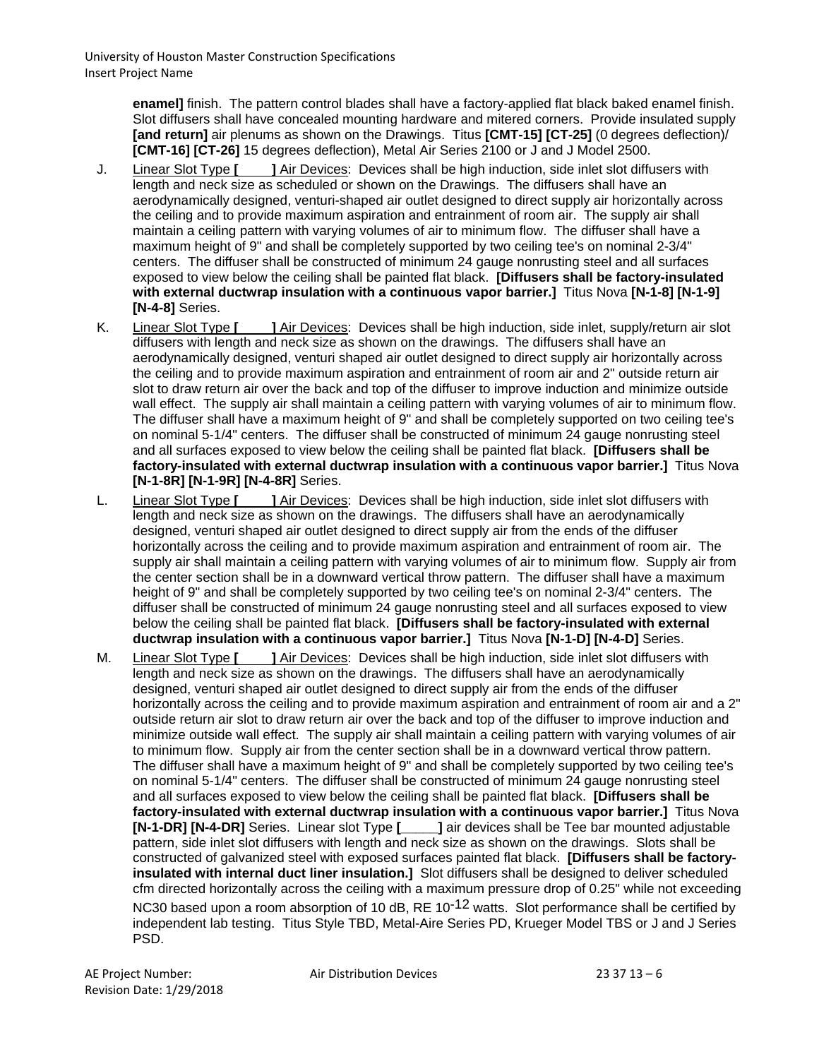**enamel]** finish. The pattern control blades shall have a factory-applied flat black baked enamel finish. Slot diffusers shall have concealed mounting hardware and mitered corners. Provide insulated supply **[and return]** air plenums as shown on the Drawings. Titus **[CMT-15] [CT-25]** (0 degrees deflection)/ **[CMT-16] [CT-26]** 15 degrees deflection), Metal Air Series 2100 or J and J Model 2500.

- J. Linear Slot Type **[ ]** Air Devices: Devices shall be high induction, side inlet slot diffusers with length and neck size as scheduled or shown on the Drawings. The diffusers shall have an aerodynamically designed, venturi-shaped air outlet designed to direct supply air horizontally across the ceiling and to provide maximum aspiration and entrainment of room air. The supply air shall maintain a ceiling pattern with varying volumes of air to minimum flow. The diffuser shall have a maximum height of 9" and shall be completely supported by two ceiling tee's on nominal 2-3/4" centers. The diffuser shall be constructed of minimum 24 gauge nonrusting steel and all surfaces exposed to view below the ceiling shall be painted flat black. **[Diffusers shall be factory-insulated with external ductwrap insulation with a continuous vapor barrier.]** Titus Nova **[N-1-8] [N-1-9] [N-4-8]** Series.
- K. Linear Slot Type **[ ]** Air Devices: Devices shall be high induction, side inlet, supply/return air slot diffusers with length and neck size as shown on the drawings. The diffusers shall have an aerodynamically designed, venturi shaped air outlet designed to direct supply air horizontally across the ceiling and to provide maximum aspiration and entrainment of room air and 2" outside return air slot to draw return air over the back and top of the diffuser to improve induction and minimize outside wall effect. The supply air shall maintain a ceiling pattern with varying volumes of air to minimum flow. The diffuser shall have a maximum height of 9" and shall be completely supported on two ceiling tee's on nominal 5-1/4" centers. The diffuser shall be constructed of minimum 24 gauge nonrusting steel and all surfaces exposed to view below the ceiling shall be painted flat black. **[Diffusers shall be factory-insulated with external ductwrap insulation with a continuous vapor barrier.]** Titus Nova **[N-1-8R] [N-1-9R] [N-4-8R]** Series.
- L. Linear Slot Type **[ | | Air Devices**: Devices shall be high induction, side inlet slot diffusers with length and neck size as shown on the drawings. The diffusers shall have an aerodynamically designed, venturi shaped air outlet designed to direct supply air from the ends of the diffuser horizontally across the ceiling and to provide maximum aspiration and entrainment of room air. The supply air shall maintain a ceiling pattern with varying volumes of air to minimum flow. Supply air from the center section shall be in a downward vertical throw pattern. The diffuser shall have a maximum height of 9" and shall be completely supported by two ceiling tee's on nominal 2-3/4" centers. The diffuser shall be constructed of minimum 24 gauge nonrusting steel and all surfaces exposed to view below the ceiling shall be painted flat black. **[Diffusers shall be factory-insulated with external ductwrap insulation with a continuous vapor barrier.]** Titus Nova **[N-1-D] [N-4-D]** Series.
- M. Linear Slot Type **[ | | | Air Devices**: Devices shall be high induction, side inlet slot diffusers with length and neck size as shown on the drawings. The diffusers shall have an aerodynamically designed, venturi shaped air outlet designed to direct supply air from the ends of the diffuser horizontally across the ceiling and to provide maximum aspiration and entrainment of room air and a 2" outside return air slot to draw return air over the back and top of the diffuser to improve induction and minimize outside wall effect. The supply air shall maintain a ceiling pattern with varying volumes of air to minimum flow. Supply air from the center section shall be in a downward vertical throw pattern. The diffuser shall have a maximum height of 9" and shall be completely supported by two ceiling tee's on nominal 5-1/4" centers. The diffuser shall be constructed of minimum 24 gauge nonrusting steel and all surfaces exposed to view below the ceiling shall be painted flat black. **[Diffusers shall be factory-insulated with external ductwrap insulation with a continuous vapor barrier.]** Titus Nova **[N-1-DR] [N-4-DR]** Series. Linear slot Type **[\_\_\_\_\_]** air devices shall be Tee bar mounted adjustable pattern, side inlet slot diffusers with length and neck size as shown on the drawings. Slots shall be constructed of galvanized steel with exposed surfaces painted flat black. **[Diffusers shall be factoryinsulated with internal duct liner insulation.]** Slot diffusers shall be designed to deliver scheduled cfm directed horizontally across the ceiling with a maximum pressure drop of 0.25" while not exceeding NC30 based upon a room absorption of 10 dB, RE 10<sup>-12</sup> watts. Slot performance shall be certified by independent lab testing. Titus Style TBD, Metal-Aire Series PD, Krueger Model TBS or J and J Series PSD.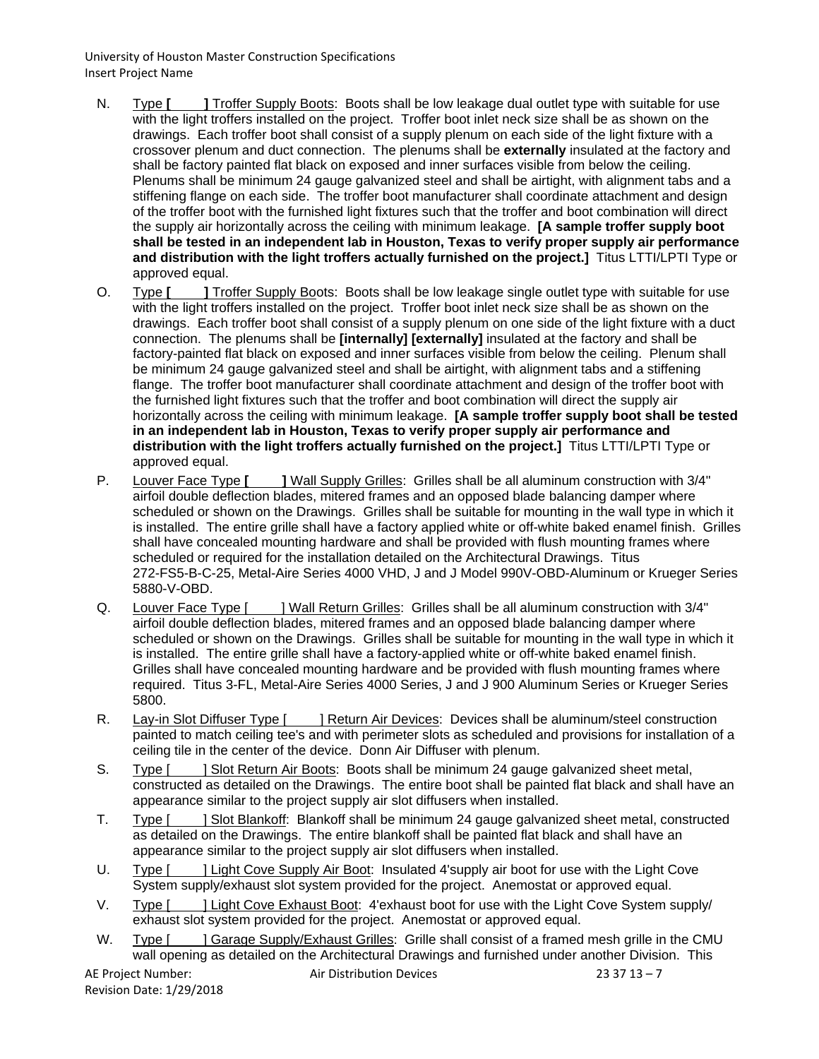- N. Type [ ] Troffer Supply Boots: Boots shall be low leakage dual outlet type with suitable for use with the light troffers installed on the project. Troffer boot inlet neck size shall be as shown on the drawings. Each troffer boot shall consist of a supply plenum on each side of the light fixture with a crossover plenum and duct connection. The plenums shall be **externally** insulated at the factory and shall be factory painted flat black on exposed and inner surfaces visible from below the ceiling. Plenums shall be minimum 24 gauge galvanized steel and shall be airtight, with alignment tabs and a stiffening flange on each side. The troffer boot manufacturer shall coordinate attachment and design of the troffer boot with the furnished light fixtures such that the troffer and boot combination will direct the supply air horizontally across the ceiling with minimum leakage. **[A sample troffer supply boot shall be tested in an independent lab in Houston, Texas to verify proper supply air performance and distribution with the light troffers actually furnished on the project.]** Titus LTTI/LPTI Type or approved equal.
- O. Type **[ ]** Troffer Supply Boots: Boots shall be low leakage single outlet type with suitable for use with the light troffers installed on the project. Troffer boot inlet neck size shall be as shown on the drawings. Each troffer boot shall consist of a supply plenum on one side of the light fixture with a duct connection. The plenums shall be **[internally] [externally]** insulated at the factory and shall be factory-painted flat black on exposed and inner surfaces visible from below the ceiling. Plenum shall be minimum 24 gauge galvanized steel and shall be airtight, with alignment tabs and a stiffening flange. The troffer boot manufacturer shall coordinate attachment and design of the troffer boot with the furnished light fixtures such that the troffer and boot combination will direct the supply air horizontally across the ceiling with minimum leakage. **[A sample troffer supply boot shall be tested in an independent lab in Houston, Texas to verify proper supply air performance and distribution with the light troffers actually furnished on the project.]** Titus LTTI/LPTI Type or approved equal.
- P. Louver Face Type **[ ]** Wall Supply Grilles: Grilles shall be all aluminum construction with 3/4" airfoil double deflection blades, mitered frames and an opposed blade balancing damper where scheduled or shown on the Drawings. Grilles shall be suitable for mounting in the wall type in which it is installed. The entire grille shall have a factory applied white or off-white baked enamel finish. Grilles shall have concealed mounting hardware and shall be provided with flush mounting frames where scheduled or required for the installation detailed on the Architectural Drawings. Titus 272-FS5-B-C-25, Metal-Aire Series 4000 VHD, J and J Model 990V-OBD-Aluminum or Krueger Series 5880-V-OBD.
- Q. Louver Face Type [ ] Wall Return Grilles: Grilles shall be all aluminum construction with 3/4" airfoil double deflection blades, mitered frames and an opposed blade balancing damper where scheduled or shown on the Drawings. Grilles shall be suitable for mounting in the wall type in which it is installed. The entire grille shall have a factory-applied white or off-white baked enamel finish. Grilles shall have concealed mounting hardware and be provided with flush mounting frames where required. Titus 3-FL, Metal-Aire Series 4000 Series, J and J 900 Aluminum Series or Krueger Series 5800.
- R. Lay-in Slot Diffuser Type [ ] Return Air Devices: Devices shall be aluminum/steel construction painted to match ceiling tee's and with perimeter slots as scheduled and provisions for installation of a ceiling tile in the center of the device. Donn Air Diffuser with plenum.
- S. Type [ ] Slot Return Air Boots: Boots shall be minimum 24 gauge galvanized sheet metal, constructed as detailed on the Drawings. The entire boot shall be painted flat black and shall have an appearance similar to the project supply air slot diffusers when installed.
- T. Type [ ] Slot Blankoff: Blankoff shall be minimum 24 gauge galvanized sheet metal, constructed as detailed on the Drawings. The entire blankoff shall be painted flat black and shall have an appearance similar to the project supply air slot diffusers when installed.
- U. Type [ ] Light Cove Supply Air Boot: Insulated 4'supply air boot for use with the Light Cove System supply/exhaust slot system provided for the project. Anemostat or approved equal.
- V. Type [ ] Light Cove Exhaust Boot: 4'exhaust boot for use with the Light Cove System supply/ exhaust slot system provided for the project. Anemostat or approved equal.
- W. Type [ ] Garage Supply/Exhaust Grilles: Grille shall consist of a framed mesh grille in the CMU wall opening as detailed on the Architectural Drawings and furnished under another Division. This

AE Project Number: Air Distribution Devices 23 37 13 – 7 Revision Date: 1/29/2018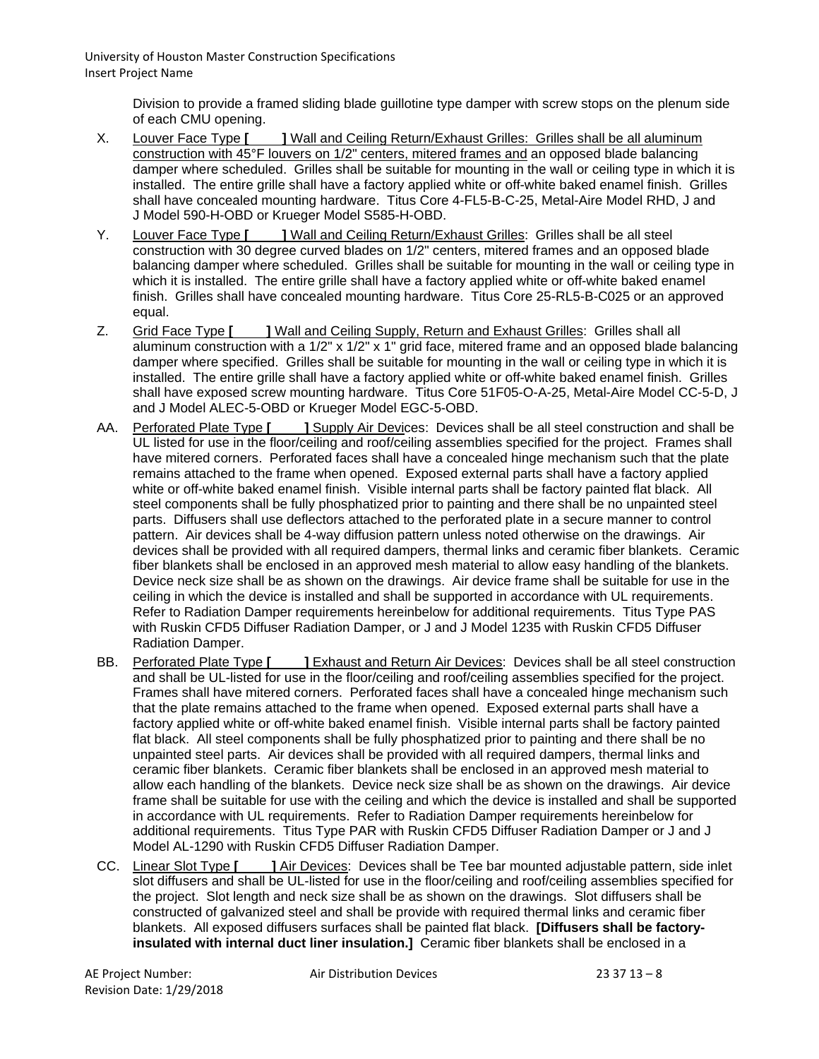> Division to provide a framed sliding blade guillotine type damper with screw stops on the plenum side of each CMU opening.

- X. Louver Face Type **[ ]** Wall and Ceiling Return/Exhaust Grilles: Grilles shall be all aluminum construction with 45°F louvers on 1/2" centers, mitered frames and an opposed blade balancing damper where scheduled. Grilles shall be suitable for mounting in the wall or ceiling type in which it is installed. The entire grille shall have a factory applied white or off-white baked enamel finish. Grilles shall have concealed mounting hardware. Titus Core 4-FL5-B-C-25, Metal-Aire Model RHD, J and J Model 590-H-OBD or Krueger Model S585-H-OBD.
- Y. Louver Face Type **[ | | | Wall and Ceiling Return/Exhaust Grilles: Grilles shall be all steel** construction with 30 degree curved blades on 1/2" centers, mitered frames and an opposed blade balancing damper where scheduled. Grilles shall be suitable for mounting in the wall or ceiling type in which it is installed. The entire grille shall have a factory applied white or off-white baked enamel finish. Grilles shall have concealed mounting hardware. Titus Core 25-RL5-B-C025 or an approved equal.
- Z. Grid Face Type **[ ]** Wall and Ceiling Supply, Return and Exhaust Grilles: Grilles shall all aluminum construction with a 1/2" x 1/2" x 1" grid face, mitered frame and an opposed blade balancing damper where specified. Grilles shall be suitable for mounting in the wall or ceiling type in which it is installed. The entire grille shall have a factory applied white or off-white baked enamel finish. Grilles shall have exposed screw mounting hardware. Titus Core 51F05-O-A-25, Metal-Aire Model CC-5-D, J and J Model ALEC-5-OBD or Krueger Model EGC-5-OBD.
- AA. Perforated Plate Type **[ ]** Supply Air Devices: Devices shall be all steel construction and shall be UL listed for use in the floor/ceiling and roof/ceiling assemblies specified for the project. Frames shall have mitered corners. Perforated faces shall have a concealed hinge mechanism such that the plate remains attached to the frame when opened. Exposed external parts shall have a factory applied white or off-white baked enamel finish. Visible internal parts shall be factory painted flat black. All steel components shall be fully phosphatized prior to painting and there shall be no unpainted steel parts. Diffusers shall use deflectors attached to the perforated plate in a secure manner to control pattern. Air devices shall be 4-way diffusion pattern unless noted otherwise on the drawings. Air devices shall be provided with all required dampers, thermal links and ceramic fiber blankets. Ceramic fiber blankets shall be enclosed in an approved mesh material to allow easy handling of the blankets. Device neck size shall be as shown on the drawings. Air device frame shall be suitable for use in the ceiling in which the device is installed and shall be supported in accordance with UL requirements. Refer to Radiation Damper requirements hereinbelow for additional requirements. Titus Type PAS with Ruskin CFD5 Diffuser Radiation Damper, or J and J Model 1235 with Ruskin CFD5 Diffuser Radiation Damper.
- BB. Perforated Plate Type **[ | | | Exhaust and Return Air Devices**: Devices shall be all steel construction and shall be UL-listed for use in the floor/ceiling and roof/ceiling assemblies specified for the project. Frames shall have mitered corners. Perforated faces shall have a concealed hinge mechanism such that the plate remains attached to the frame when opened. Exposed external parts shall have a factory applied white or off-white baked enamel finish. Visible internal parts shall be factory painted flat black. All steel components shall be fully phosphatized prior to painting and there shall be no unpainted steel parts. Air devices shall be provided with all required dampers, thermal links and ceramic fiber blankets. Ceramic fiber blankets shall be enclosed in an approved mesh material to allow each handling of the blankets. Device neck size shall be as shown on the drawings. Air device frame shall be suitable for use with the ceiling and which the device is installed and shall be supported in accordance with UL requirements. Refer to Radiation Damper requirements hereinbelow for additional requirements. Titus Type PAR with Ruskin CFD5 Diffuser Radiation Damper or J and J Model AL-1290 with Ruskin CFD5 Diffuser Radiation Damper.
- CC. Linear Slot Type **[ ]** Air Devices: Devices shall be Tee bar mounted adjustable pattern, side inlet slot diffusers and shall be UL-listed for use in the floor/ceiling and roof/ceiling assemblies specified for the project. Slot length and neck size shall be as shown on the drawings. Slot diffusers shall be constructed of galvanized steel and shall be provide with required thermal links and ceramic fiber blankets. All exposed diffusers surfaces shall be painted flat black. **[Diffusers shall be factoryinsulated with internal duct liner insulation.]** Ceramic fiber blankets shall be enclosed in a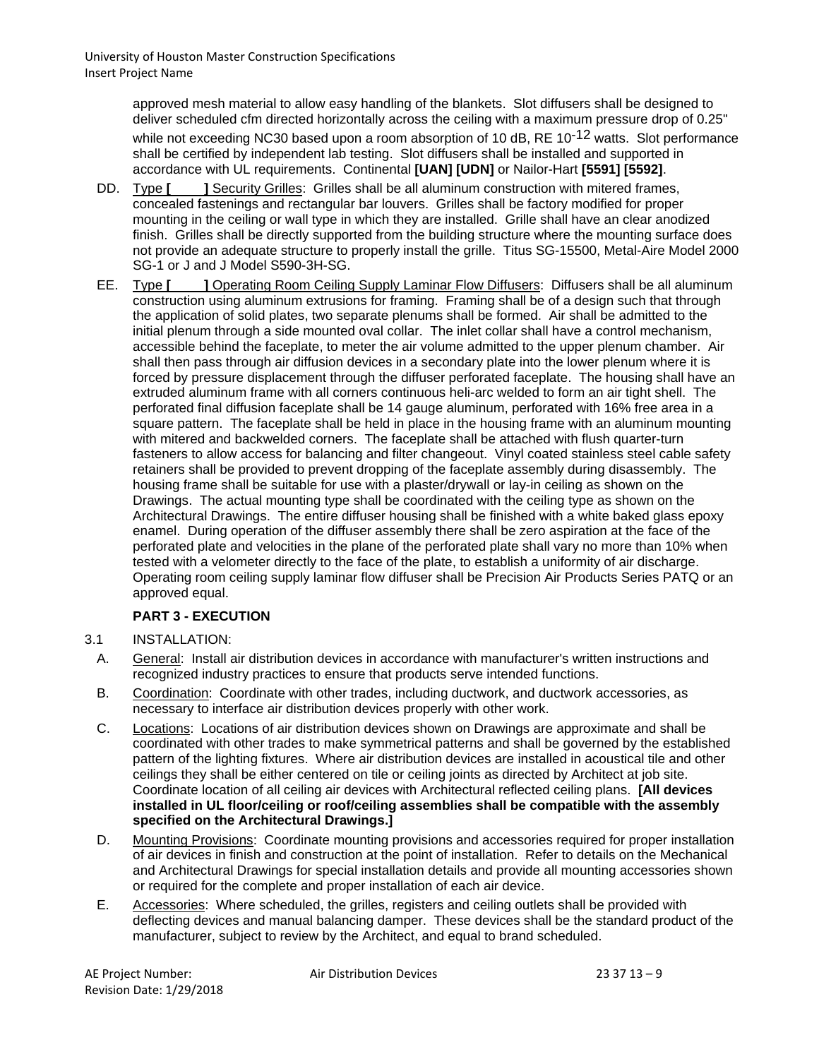approved mesh material to allow easy handling of the blankets. Slot diffusers shall be designed to deliver scheduled cfm directed horizontally across the ceiling with a maximum pressure drop of 0.25" while not exceeding NC30 based upon a room absorption of 10 dB, RE 10<sup>-12</sup> watts. Slot performance shall be certified by independent lab testing. Slot diffusers shall be installed and supported in accordance with UL requirements. Continental **[UAN] [UDN]** or Nailor-Hart **[5591] [5592]**.

- DD. Type **[** ] Security Grilles: Grilles shall be all aluminum construction with mitered frames, concealed fastenings and rectangular bar louvers. Grilles shall be factory modified for proper mounting in the ceiling or wall type in which they are installed. Grille shall have an clear anodized finish. Grilles shall be directly supported from the building structure where the mounting surface does not provide an adequate structure to properly install the grille. Titus SG-15500, Metal-Aire Model 2000 SG-1 or J and J Model S590-3H-SG.
- EE. Type **[ ]** Operating Room Ceiling Supply Laminar Flow Diffusers: Diffusers shall be all aluminum construction using aluminum extrusions for framing. Framing shall be of a design such that through the application of solid plates, two separate plenums shall be formed. Air shall be admitted to the initial plenum through a side mounted oval collar. The inlet collar shall have a control mechanism, accessible behind the faceplate, to meter the air volume admitted to the upper plenum chamber. Air shall then pass through air diffusion devices in a secondary plate into the lower plenum where it is forced by pressure displacement through the diffuser perforated faceplate. The housing shall have an extruded aluminum frame with all corners continuous heli-arc welded to form an air tight shell. The perforated final diffusion faceplate shall be 14 gauge aluminum, perforated with 16% free area in a square pattern. The faceplate shall be held in place in the housing frame with an aluminum mounting with mitered and backwelded corners. The faceplate shall be attached with flush quarter-turn fasteners to allow access for balancing and filter changeout. Vinyl coated stainless steel cable safety retainers shall be provided to prevent dropping of the faceplate assembly during disassembly. The housing frame shall be suitable for use with a plaster/drywall or lay-in ceiling as shown on the Drawings. The actual mounting type shall be coordinated with the ceiling type as shown on the Architectural Drawings. The entire diffuser housing shall be finished with a white baked glass epoxy enamel. During operation of the diffuser assembly there shall be zero aspiration at the face of the perforated plate and velocities in the plane of the perforated plate shall vary no more than 10% when tested with a velometer directly to the face of the plate, to establish a uniformity of air discharge. Operating room ceiling supply laminar flow diffuser shall be Precision Air Products Series PATQ or an approved equal.

# **PART 3 - EXECUTION**

## 3.1 INSTALLATION:

- A. General: Install air distribution devices in accordance with manufacturer's written instructions and recognized industry practices to ensure that products serve intended functions.
- B. Coordination: Coordinate with other trades, including ductwork, and ductwork accessories, as necessary to interface air distribution devices properly with other work.
- C. Locations: Locations of air distribution devices shown on Drawings are approximate and shall be coordinated with other trades to make symmetrical patterns and shall be governed by the established pattern of the lighting fixtures. Where air distribution devices are installed in acoustical tile and other ceilings they shall be either centered on tile or ceiling joints as directed by Architect at job site. Coordinate location of all ceiling air devices with Architectural reflected ceiling plans. **[All devices installed in UL floor/ceiling or roof/ceiling assemblies shall be compatible with the assembly specified on the Architectural Drawings.]**
- D. Mounting Provisions: Coordinate mounting provisions and accessories required for proper installation of air devices in finish and construction at the point of installation. Refer to details on the Mechanical and Architectural Drawings for special installation details and provide all mounting accessories shown or required for the complete and proper installation of each air device.
- E. Accessories: Where scheduled, the grilles, registers and ceiling outlets shall be provided with deflecting devices and manual balancing damper. These devices shall be the standard product of the manufacturer, subject to review by the Architect, and equal to brand scheduled.